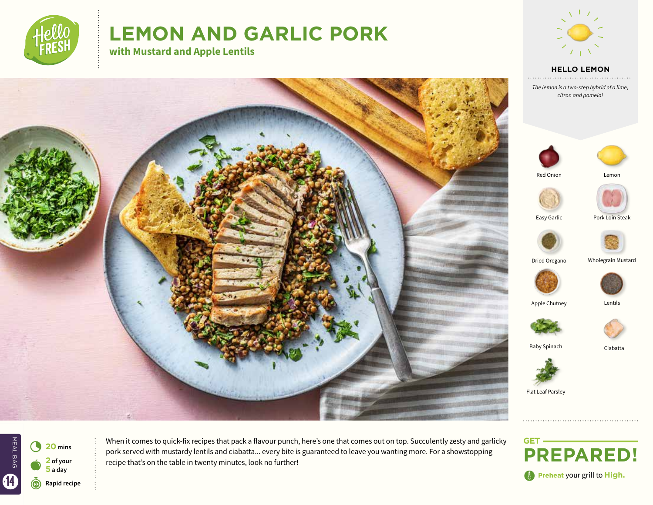

# **LEMON AND GARLIC PORK**

**with Mustard and Apple Lentils**



**HELLO LEMON**

*The lemon is a two-step hybrid of a lime, citron and pomelo!*





Ciabatta

MEAL BAG  $\bullet$ 4 **<sup>20</sup> mins 2 of your 5 a day**

When it comes to quick-fix recipes that pack a flavour punch, here's one that comes out on top. Succulently zesty and garlicky pork served with mustardy lentils and ciabatta... every bite is guaranteed to leave you wanting more. For a showstopping recipe that's on the table in twenty minutes, look no further!